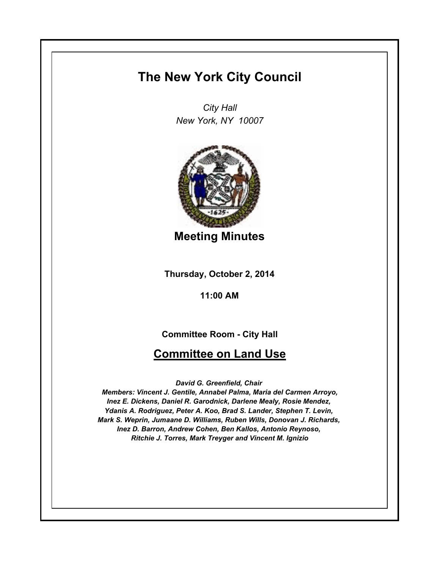# **The New York City Council**

*City Hall New York, NY 10007*



**Meeting Minutes**

**Thursday, October 2, 2014**

**11:00 AM**

**Committee Room - City Hall**

## **Committee on Land Use**

*David G. Greenfield, Chair* 

*Members: Vincent J. Gentile, Annabel Palma, Maria del Carmen Arroyo, Inez E. Dickens, Daniel R. Garodnick, Darlene Mealy, Rosie Mendez, Ydanis A. Rodriguez, Peter A. Koo, Brad S. Lander, Stephen T. Levin, Mark S. Weprin, Jumaane D. Williams, Ruben Wills, Donovan J. Richards, Inez D. Barron, Andrew Cohen, Ben Kallos, Antonio Reynoso, Ritchie J. Torres, Mark Treyger and Vincent M. Ignizio*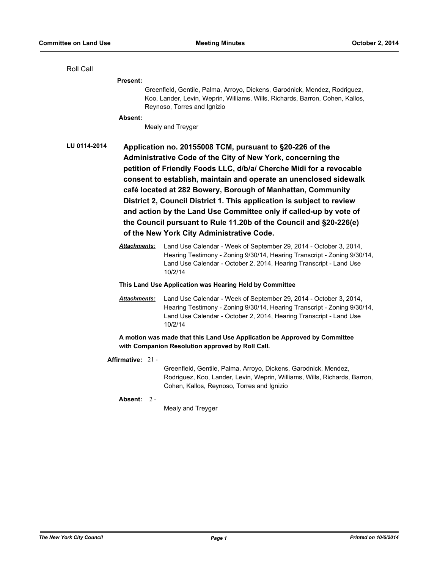#### Roll Call

**Present:**

Greenfield, Gentile, Palma, Arroyo, Dickens, Garodnick, Mendez, Rodriguez, Koo, Lander, Levin, Weprin, Williams, Wills, Richards, Barron, Cohen, Kallos, Reynoso, Torres and Ignizio

#### **Absent:**

Mealy and Treyger

**LU 0114-2014 Application no. 20155008 TCM, pursuant to §20-226 of the Administrative Code of the City of New York, concerning the petition of Friendly Foods LLC, d/b/a/ Cherche Midi for a revocable consent to establish, maintain and operate an unenclosed sidewalk café located at 282 Bowery, Borough of Manhattan, Community District 2, Council District 1. This application is subject to review and action by the Land Use Committee only if called-up by vote of the Council pursuant to Rule 11.20b of the Council and §20-226(e) of the New York City Administrative Code.**

> *Attachments:* Land Use Calendar - Week of September 29, 2014 - October 3, 2014, Hearing Testimony - Zoning 9/30/14, Hearing Transcript - Zoning 9/30/14, Land Use Calendar - October 2, 2014, Hearing Transcript - Land Use 10/2/14

#### **This Land Use Application was Hearing Held by Committee**

*Attachments:* Land Use Calendar - Week of September 29, 2014 - October 3, 2014, Hearing Testimony - Zoning 9/30/14, Hearing Transcript - Zoning 9/30/14, Land Use Calendar - October 2, 2014, Hearing Transcript - Land Use 10/2/14

**A motion was made that this Land Use Application be Approved by Committee with Companion Resolution approved by Roll Call.**

**Affirmative:** 21 -

Greenfield, Gentile, Palma, Arroyo, Dickens, Garodnick, Mendez, Rodriguez, Koo, Lander, Levin, Weprin, Williams, Wills, Richards, Barron, Cohen, Kallos, Reynoso, Torres and Ignizio

**Absent:** 2 -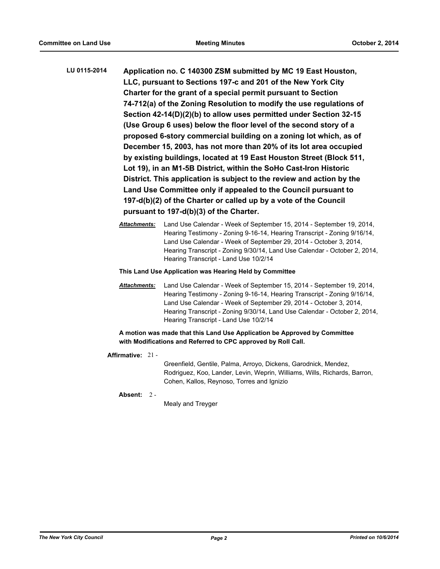- **LU 0115-2014 Application no. C 140300 ZSM submitted by MC 19 East Houston, LLC, pursuant to Sections 197-c and 201 of the New York City Charter for the grant of a special permit pursuant to Section 74-712(a) of the Zoning Resolution to modify the use regulations of Section 42-14(D)(2)(b) to allow uses permitted under Section 32-15 (Use Group 6 uses) below the floor level of the second story of a proposed 6-story commercial building on a zoning lot which, as of December 15, 2003, has not more than 20% of its lot area occupied by existing buildings, located at 19 East Houston Street (Block 511, Lot 19), in an M1-5B District, within the SoHo Cast-Iron Historic District. This application is subject to the review and action by the Land Use Committee only if appealed to the Council pursuant to 197-d(b)(2) of the Charter or called up by a vote of the Council pursuant to 197-d(b)(3) of the Charter.**
	- *Attachments:* Land Use Calendar Week of September 15, 2014 September 19, 2014, Hearing Testimony - Zoning 9-16-14, Hearing Transcript - Zoning 9/16/14, Land Use Calendar - Week of September 29, 2014 - October 3, 2014, Hearing Transcript - Zoning 9/30/14, Land Use Calendar - October 2, 2014, Hearing Transcript - Land Use 10/2/14
	- **This Land Use Application was Hearing Held by Committee**
	- *Attachments:* Land Use Calendar Week of September 15, 2014 September 19, 2014, Hearing Testimony - Zoning 9-16-14, Hearing Transcript - Zoning 9/16/14, Land Use Calendar - Week of September 29, 2014 - October 3, 2014, Hearing Transcript - Zoning 9/30/14, Land Use Calendar - October 2, 2014, Hearing Transcript - Land Use 10/2/14

**A motion was made that this Land Use Application be Approved by Committee with Modifications and Referred to CPC approved by Roll Call.**

**Affirmative:** 21 -

Greenfield, Gentile, Palma, Arroyo, Dickens, Garodnick, Mendez, Rodriguez, Koo, Lander, Levin, Weprin, Williams, Wills, Richards, Barron, Cohen, Kallos, Reynoso, Torres and Ignizio

**Absent:** 2 -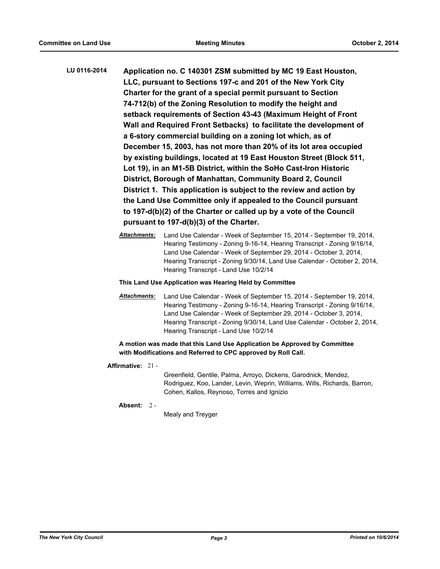- **LU 0116-2014 Application no. C 140301 ZSM submitted by MC 19 East Houston, LLC, pursuant to Sections 197-c and 201 of the New York City Charter for the grant of a special permit pursuant to Section 74-712(b) of the Zoning Resolution to modify the height and setback requirements of Section 43-43 (Maximum Height of Front Wall and Required Front Setbacks) to facilitate the development of a 6-story commercial building on a zoning lot which, as of December 15, 2003, has not more than 20% of its lot area occupied by existing buildings, located at 19 East Houston Street (Block 511, Lot 19), in an M1-5B District, within the SoHo Cast-Iron Historic District, Borough of Manhattan, Community Board 2, Council District 1. This application is subject to the review and action by the Land Use Committee only if appealed to the Council pursuant to 197-d(b)(2) of the Charter or called up by a vote of the Council pursuant to 197-d(b)(3) of the Charter.**
	- *Attachments:* Land Use Calendar Week of September 15, 2014 September 19, 2014, Hearing Testimony - Zoning 9-16-14, Hearing Transcript - Zoning 9/16/14, Land Use Calendar - Week of September 29, 2014 - October 3, 2014, Hearing Transcript - Zoning 9/30/14, Land Use Calendar - October 2, 2014, Hearing Transcript - Land Use 10/2/14

#### **This Land Use Application was Hearing Held by Committee**

*Attachments:* Land Use Calendar - Week of September 15, 2014 - September 19, 2014, Hearing Testimony - Zoning 9-16-14, Hearing Transcript - Zoning 9/16/14, Land Use Calendar - Week of September 29, 2014 - October 3, 2014, Hearing Transcript - Zoning 9/30/14, Land Use Calendar - October 2, 2014, Hearing Transcript - Land Use 10/2/14

## **A motion was made that this Land Use Application be Approved by Committee with Modifications and Referred to CPC approved by Roll Call.**

**Affirmative:** 21 -

Greenfield, Gentile, Palma, Arroyo, Dickens, Garodnick, Mendez, Rodriguez, Koo, Lander, Levin, Weprin, Williams, Wills, Richards, Barron, Cohen, Kallos, Reynoso, Torres and Ignizio

**Absent:** 2 -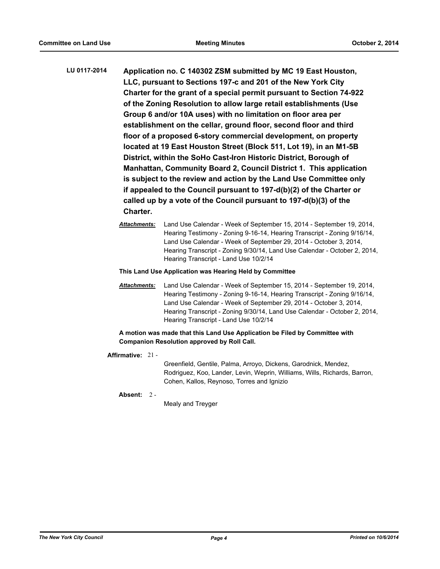- **LU 0117-2014 Application no. C 140302 ZSM submitted by MC 19 East Houston, LLC, pursuant to Sections 197-c and 201 of the New York City Charter for the grant of a special permit pursuant to Section 74-922 of the Zoning Resolution to allow large retail establishments (Use Group 6 and/or 10A uses) with no limitation on floor area per establishment on the cellar, ground floor, second floor and third floor of a proposed 6-story commercial development, on property located at 19 East Houston Street (Block 511, Lot 19), in an M1-5B District, within the SoHo Cast-Iron Historic District, Borough of Manhattan, Community Board 2, Council District 1. This application is subject to the review and action by the Land Use Committee only if appealed to the Council pursuant to 197-d(b)(2) of the Charter or called up by a vote of the Council pursuant to 197-d(b)(3) of the Charter.**
	- *Attachments:* Land Use Calendar Week of September 15, 2014 September 19, 2014, Hearing Testimony - Zoning 9-16-14, Hearing Transcript - Zoning 9/16/14, Land Use Calendar - Week of September 29, 2014 - October 3, 2014, Hearing Transcript - Zoning 9/30/14, Land Use Calendar - October 2, 2014, Hearing Transcript - Land Use 10/2/14
	- **This Land Use Application was Hearing Held by Committee**
	- *Attachments:* Land Use Calendar Week of September 15, 2014 September 19, 2014, Hearing Testimony - Zoning 9-16-14, Hearing Transcript - Zoning 9/16/14, Land Use Calendar - Week of September 29, 2014 - October 3, 2014, Hearing Transcript - Zoning 9/30/14, Land Use Calendar - October 2, 2014, Hearing Transcript - Land Use 10/2/14

**A motion was made that this Land Use Application be Filed by Committee with Companion Resolution approved by Roll Call.**

**Affirmative:** 21 -

Greenfield, Gentile, Palma, Arroyo, Dickens, Garodnick, Mendez, Rodriguez, Koo, Lander, Levin, Weprin, Williams, Wills, Richards, Barron, Cohen, Kallos, Reynoso, Torres and Ignizio

**Absent:** 2 -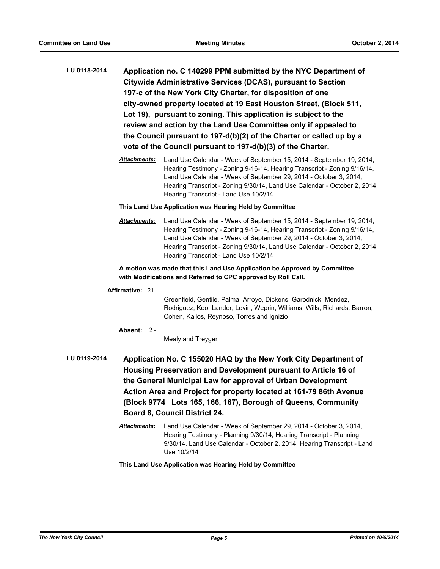- **LU 0118-2014 Application no. C 140299 PPM submitted by the NYC Department of Citywide Administrative Services (DCAS), pursuant to Section 197-c of the New York City Charter, for disposition of one city-owned property located at 19 East Houston Street, (Block 511, Lot 19), pursuant to zoning. This application is subject to the review and action by the Land Use Committee only if appealed to the Council pursuant to 197-d(b)(2) of the Charter or called up by a vote of the Council pursuant to 197-d(b)(3) of the Charter.**
	- *Attachments:* Land Use Calendar Week of September 15, 2014 September 19, 2014, Hearing Testimony - Zoning 9-16-14, Hearing Transcript - Zoning 9/16/14, Land Use Calendar - Week of September 29, 2014 - October 3, 2014, Hearing Transcript - Zoning 9/30/14, Land Use Calendar - October 2, 2014, Hearing Transcript - Land Use 10/2/14

#### **This Land Use Application was Hearing Held by Committee**

*Attachments:* Land Use Calendar - Week of September 15, 2014 - September 19, 2014, Hearing Testimony - Zoning 9-16-14, Hearing Transcript - Zoning 9/16/14, Land Use Calendar - Week of September 29, 2014 - October 3, 2014, Hearing Transcript - Zoning 9/30/14, Land Use Calendar - October 2, 2014, Hearing Transcript - Land Use 10/2/14

## **A motion was made that this Land Use Application be Approved by Committee with Modifications and Referred to CPC approved by Roll Call.**

## **Affirmative:** 21 -

Greenfield, Gentile, Palma, Arroyo, Dickens, Garodnick, Mendez, Rodriguez, Koo, Lander, Levin, Weprin, Williams, Wills, Richards, Barron, Cohen, Kallos, Reynoso, Torres and Ignizio

## **Absent:** 2 -

Mealy and Treyger

- **LU 0119-2014 Application No. C 155020 HAQ by the New York City Department of Housing Preservation and Development pursuant to Article 16 of the General Municipal Law for approval of Urban Development Action Area and Project for property located at 161-79 86th Avenue (Block 9774 Lots 165, 166, 167), Borough of Queens, Community Board 8, Council District 24.**
	- *Attachments:* Land Use Calendar Week of September 29, 2014 October 3, 2014, Hearing Testimony - Planning 9/30/14, Hearing Transcript - Planning 9/30/14, Land Use Calendar - October 2, 2014, Hearing Transcript - Land Use 10/2/14

**This Land Use Application was Hearing Held by Committee**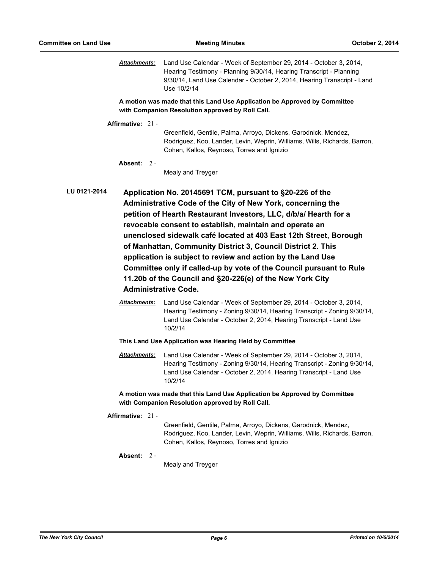*Attachments:* Land Use Calendar - Week of September 29, 2014 - October 3, 2014, Hearing Testimony - Planning 9/30/14, Hearing Transcript - Planning 9/30/14, Land Use Calendar - October 2, 2014, Hearing Transcript - Land Use 10/2/14

**A motion was made that this Land Use Application be Approved by Committee with Companion Resolution approved by Roll Call.**

**Affirmative:** 21 -

Greenfield, Gentile, Palma, Arroyo, Dickens, Garodnick, Mendez, Rodriguez, Koo, Lander, Levin, Weprin, Williams, Wills, Richards, Barron, Cohen, Kallos, Reynoso, Torres and Ignizio

**Absent:** 2 -

Mealy and Treyger

**LU 0121-2014 Application No. 20145691 TCM, pursuant to §20-226 of the Administrative Code of the City of New York, concerning the petition of Hearth Restaurant Investors, LLC, d/b/a/ Hearth for a revocable consent to establish, maintain and operate an unenclosed sidewalk café located at 403 East 12th Street, Borough of Manhattan, Community District 3, Council District 2. This application is subject to review and action by the Land Use Committee only if called-up by vote of the Council pursuant to Rule 11.20b of the Council and §20-226(e) of the New York City Administrative Code.**

> *Attachments:* Land Use Calendar - Week of September 29, 2014 - October 3, 2014, Hearing Testimony - Zoning 9/30/14, Hearing Transcript - Zoning 9/30/14, Land Use Calendar - October 2, 2014, Hearing Transcript - Land Use 10/2/14

**This Land Use Application was Hearing Held by Committee**

*Attachments:* Land Use Calendar - Week of September 29, 2014 - October 3, 2014, Hearing Testimony - Zoning 9/30/14, Hearing Transcript - Zoning 9/30/14, Land Use Calendar - October 2, 2014, Hearing Transcript - Land Use 10/2/14

**A motion was made that this Land Use Application be Approved by Committee with Companion Resolution approved by Roll Call.**

**Affirmative:** 21 -

Greenfield, Gentile, Palma, Arroyo, Dickens, Garodnick, Mendez, Rodriguez, Koo, Lander, Levin, Weprin, Williams, Wills, Richards, Barron, Cohen, Kallos, Reynoso, Torres and Ignizio

#### **Absent:** 2 -